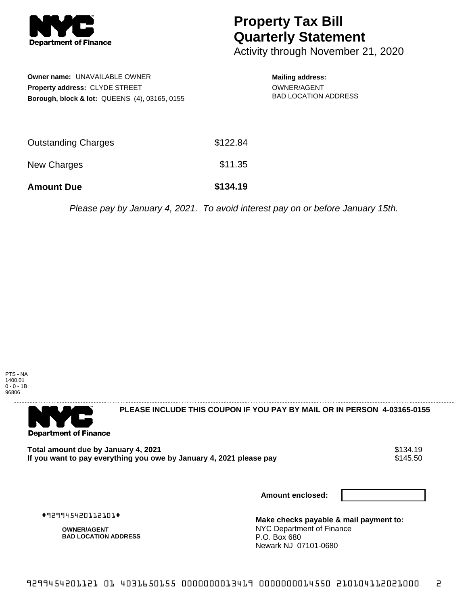

## **Property Tax Bill Quarterly Statement**

Activity through November 21, 2020

| <b>Owner name: UNAVAILABLE OWNER</b>                     |  |  |  |  |
|----------------------------------------------------------|--|--|--|--|
| <b>Property address: CLYDE STREET</b>                    |  |  |  |  |
| <b>Borough, block &amp; lot: QUEENS (4), 03165, 0155</b> |  |  |  |  |

## **Mailing address:** OWNER/AGENT BAD LOCATION ADDRESS

| <b>Amount Due</b>   | \$134.19 |
|---------------------|----------|
| New Charges         | \$11.35  |
| Outstanding Charges | \$122.84 |

Please pay by January 4, 2021. To avoid interest pay on or before January 15th.



**PLEASE INCLUDE THIS COUPON IF YOU PAY BY MAIL OR IN PERSON 4-03165-0155** 

Total amount due by January 4, 2021<br>If you want to pay everything you owe by January 4, 2021 please pay **show that the set of the set of the s**145.50 If you want to pay everything you owe by January 4, 2021 please pay

**Amount enclosed:**

#929945420112101#

**OWNER/AGENT BAD LOCATION ADDRESS** **Make checks payable & mail payment to:** NYC Department of Finance P.O. Box 680 Newark NJ 07101-0680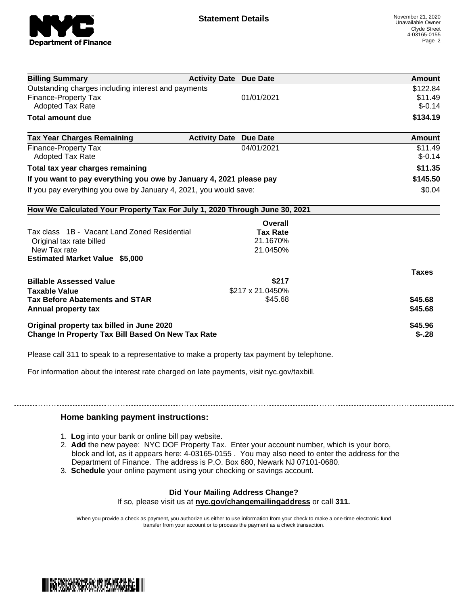

| <b>Billing Summary</b>                                                     | <b>Activity Date Due Date</b>           | <b>Amount</b> |
|----------------------------------------------------------------------------|-----------------------------------------|---------------|
| Outstanding charges including interest and payments                        |                                         | \$122.84      |
| <b>Finance-Property Tax</b>                                                | 01/01/2021                              | \$11.49       |
| <b>Adopted Tax Rate</b>                                                    |                                         | $$-0.14$      |
| <b>Total amount due</b>                                                    |                                         | \$134.19      |
| <b>Tax Year Charges Remaining</b>                                          | <b>Activity Date</b><br><b>Due Date</b> | Amount        |
| <b>Finance-Property Tax</b>                                                | 04/01/2021                              | \$11.49       |
| <b>Adopted Tax Rate</b>                                                    |                                         | $$-0.14$      |
| Total tax year charges remaining                                           |                                         | \$11.35       |
| If you want to pay everything you owe by January 4, 2021 please pay        |                                         | \$145.50      |
| If you pay everything you owe by January 4, 2021, you would save:          |                                         | \$0.04        |
| How We Calculated Your Property Tax For July 1, 2020 Through June 30, 2021 |                                         |               |
|                                                                            | Overall                                 |               |
| Tax class 1B - Vacant Land Zoned Residential                               | <b>Tax Rate</b>                         |               |
| Original tax rate billed                                                   | 21.1670%                                |               |
| New Tax rate                                                               | 21.0450%                                |               |
| <b>Estimated Market Value \$5,000</b>                                      |                                         |               |
|                                                                            |                                         | <b>Taxes</b>  |
| <b>Billable Assessed Value</b>                                             | \$217                                   |               |
| <b>Taxable Value</b>                                                       | \$217 x 21.0450%                        |               |
| <b>Tax Before Abatements and STAR</b>                                      | \$45.68                                 | \$45.68       |
| Annual property tax                                                        |                                         | \$45.68       |
| Original property tax billed in June 2020                                  |                                         | \$45.96       |
| Change In Property Tax Bill Based On New Tax Rate                          |                                         | $$-.28$       |

Please call 311 to speak to a representative to make a property tax payment by telephone.

For information about the interest rate charged on late payments, visit nyc.gov/taxbill.

## **Home banking payment instructions:**

- 1. **Log** into your bank or online bill pay website.
- 2. **Add** the new payee: NYC DOF Property Tax. Enter your account number, which is your boro, block and lot, as it appears here: 4-03165-0155 . You may also need to enter the address for the Department of Finance. The address is P.O. Box 680, Newark NJ 07101-0680.
- 3. **Schedule** your online payment using your checking or savings account.

## **Did Your Mailing Address Change?**

If so, please visit us at **nyc.gov/changemailingaddress** or call **311.**

When you provide a check as payment, you authorize us either to use information from your check to make a one-time electronic fund transfer from your account or to process the payment as a check transaction.